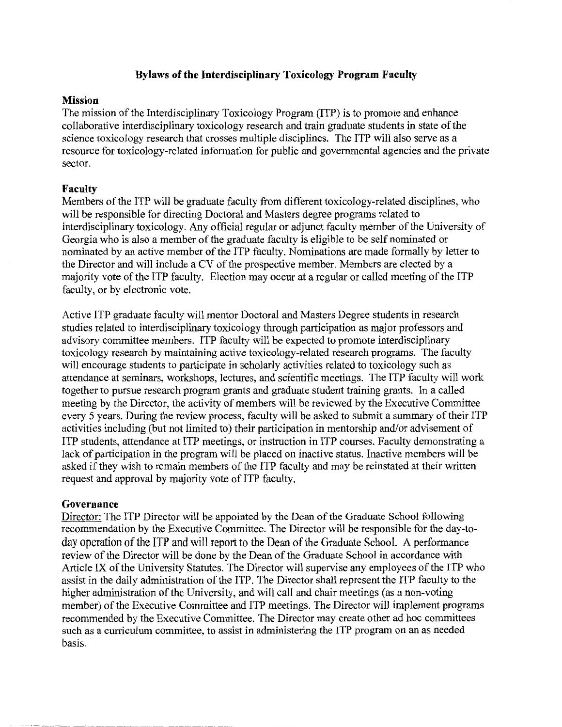# **Bylaws of the Interdisciplinary Toxicology Program Faculty**

### **Mission**

The mission of the Interdisciplinary Toxicology Program (ITP) is to promote and enhance collaborative interdisciplinary toxicology research and train graduate students in state of the science toxicology research that crosses multiple disciplines. The ITP will also serve as a resource for toxicology-related information for public and governmental agencies and the private sector.

## **Faculty**

Members of the ITP will be graduate faculty from different toxicology-related disciplines, who will be responsible for directing Doctoral and Masters degree programs related to interdisciplinary toxicology. Any official regular or adjunct faculty member of the University of Georgia who is also a member of the graduate faculty is eligible to be self nominated or nominated by an active member of the ITP faculty. Nominations are made formally by letter to the Director and will include a CV of the prospective member. Members are elected by a majority vote of the ITP faculty. Election may occur at a regular or called meeting of the ITP faculty, or by electronic vote.

Active ITP graduate faculty will mentor Doctoral and Masters Degree students in research studies related to interdisciplinary toxicology through participation as major professors and advisory committee members. ITP faculty will be expected to promote interdisciplinary toxicology research by maintaining active toxicology-related research programs. The faculty will encourage students to participate in scholarly activities related to toxicology such as attendance at seminars, workshops, lectures, and scientific meetings. The ITP faculty will work together to pursue research program grants and graduate student training grants. In a called meeting by the Director, the activity of members will be reviewed by the Executive Committee every 5 years. During the review process, faculty will be asked to submit a summary of their ITP activities including (but not limited to) their participation in mentorship and/or advisement of ITP students, attendance at ITP meetings, or instruction in ITP courses. Faculty demonstrating a lack of participation in the program will be placed on inactive status. Inactive members will be asked if they wish to remain members of the ITP faculty and may be reinstated at their written request and approval by majority vote of ITP faculty.

#### **Governance**

Director: The ITP Director will be appointed by the Dean of the Graduate School following recommendation by the Executive Committee. The Director will be responsible for the day-today operation of the ITP and will report to the Dean of the Graduate School. A performance review of the Director will be done by the Dean of the Graduate School in accordance with Article IX of the University Statutes. The Director will supervise any employees of the ITP who assist in the daily administration of the ITP. The Director shall represent the ITP faculty to the higher administration of the University, and will call and chair meetings (as a non-voting member) of the Executive Committee and ITP meetings. The Director will implement programs recommended by the Executive Committee. The Director may create other ad hoc committees such as a curriculum committee, to assist in administering the ITP program on an as needed basis.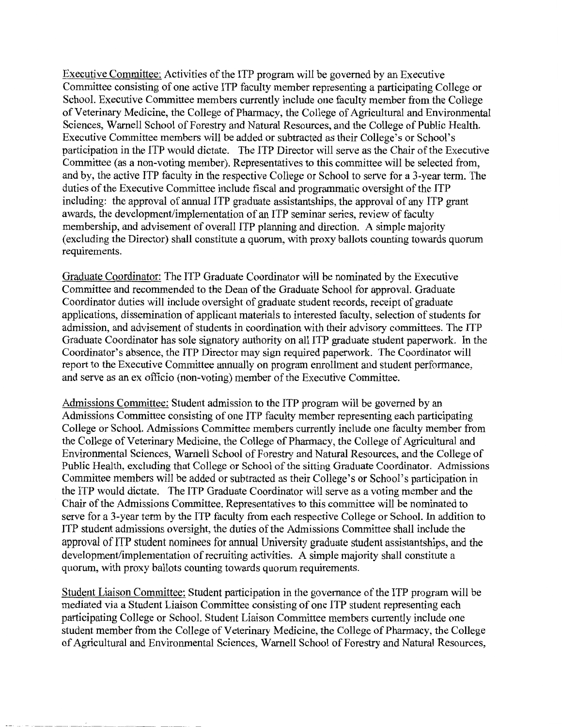Executive Committee: Activities of the ITP program will be governed by an Executive Committee consisting of one active ITP faculty member representing a participating College or School. Executive Committee members currently include one faculty member from the College ofVeterinary Medicine, the College of Pharmacy, the College of Agricultural and Environmental Sciences, Warnell School of Forestry and Natural Resources, and the College of Public Health. Executive Committee members will be added or subtracted as their College's or School's participation in the ITP would dictate. The ITP Director will serve as the Chair of the Executive Committee (as a non-voting member). Representatives to this committee will be selected from, and by, the active ITP faculty in the respective College or School to serve for a 3-year term. The duties of the Executive Committee include fiscal and programmatic oversight of the ITP including: the approval of annual ITP graduate assistantships, the approval of any ITP grant awards, the development/implementation of an ITP seminar series, review of faculty membership, and advisement of overall ITP planning and direction. A simple majority (excluding the Director) shall constitute a quorum, with proxy ballots counting towards quorum requirements.

Graduate Coordinator: The ITP Graduate Coordinator will be nominated by the Executive Committee and recommended to the Dean of the Graduate School for approval. Graduate Coordinator duties will include oversight of graduate student records, receipt of graduate applications, dissemination of applicant materials to interested faculty, selection of students for admission, and advisement of students in coordination with their advisory committees. The ITP Graduate Coordinator has sole signatory authority on all ITP graduate student paperwork. In the Coordinator's absence, the ITP Director may sign required paperwork. The Coordinator will report to the Executive Committee annually on program enrollment and student performance, and serve as an ex officio (non-voting) member of the Executive Committee.

Admissions Committee: Student admission to the ITP program will be governed by an Admissions Committee consisting of one ITP faculty member representing each participating College or School. Admissions Committee members currently include one faculty member from the College of Veterinary Medicine, the College of Pharmacy, the College of Agricultural and Environmental Sciences, Warnell School of Forestry and Natural Resources, and the College of Public Health, excluding that College or School of the sitting Graduate Coordinator. Admissions Committee members will be added or subtracted as their College's or School's participation in the ITP would dictate. The ITP Graduate Coordinator will serve as a voting member and the Chair of the Admissions Committee. Representatives to this committee will be nominated to serve for a 3-year term by the ITP faculty from each respective College or School. In addition to ITP student admissions oversight, the duties of the Admissions Committee shall include the approval of ITP student nominees for annual University graduate student assistantships, and the development/implementation of recruiting activities. A simple majority shall constitute a quorum, with proxy ballots counting towards quorum requirements.

Student Liaison Committee: Student participation in the governance of the ITP program will be mediated via a Student Liaison Committee consisting of one ITP student representing each participating College or School. Student Liaison Committee members currently include one student member from the College of Veterinary Medicine, the College of Pharmacy, the College of Agricultural and Environmental Sciences, Warnell School of Forestry and Natural Resources,